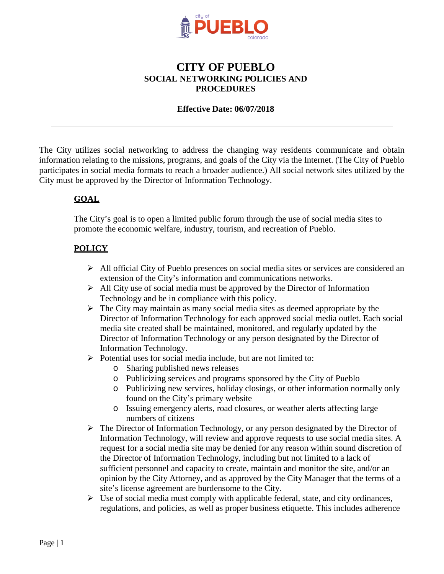

# **CITY OF PUEBLO SOCIAL NETWORKING POLICIES AND PROCEDURES**

#### **Effective Date: 06/07/2018**

 City must be approved by the Director of Information Technology. The City utilizes social networking to address the changing way residents communicate and obtain information relating to the missions, programs, and goals of the City via the Internet. (The City of Pueblo participates in social media formats to reach a broader audience.) All social network sites utilized by the

### **GOAL**

The City's goal is to open a limited public forum through the use of social media sites to promote the economic welfare, industry, tourism, and recreation of Pueblo.

#### **POLICY**

- $\triangleright$  All official City of Pueblo presences on social media sites or services are considered an extension of the City's information and communications networks.
- $\triangleright$  All City use of social media must be approved by the Director of Information Technology and be in compliance with this policy.
- $\triangleright$  The City may maintain as many social media sites as deemed appropriate by the Director of Information Technology for each approved social media outlet. Each social media site created shall be maintained, monitored, and regularly updated by the Director of Information Technology or any person designated by the Director of Information Technology.
- $\triangleright$  Potential uses for social media include, but are not limited to:
	- o Sharing published news releases
	- o Publicizing services and programs sponsored by the City of Pueblo
	- o Publicizing new services, holiday closings, or other information normally only found on the City's primary website
	- o Issuing emergency alerts, road closures, or weather alerts affecting large numbers of citizens
- request for a social media site may be denied for any reason within sound discretion of opinion by the City Attorney, and as approved by the City Manager that the terms of a The Director of Information Technology, or any person designated by the Director of Information Technology, will review and approve requests to use social media sites. A the Director of Information Technology, including but not limited to a lack of sufficient personnel and capacity to create, maintain and monitor the site, and/or an site's license agreement are burdensome to the City.
- $\triangleright$  Use of social media must comply with applicable federal, state, and city ordinances, regulations, and policies, as well as proper business etiquette. This includes adherence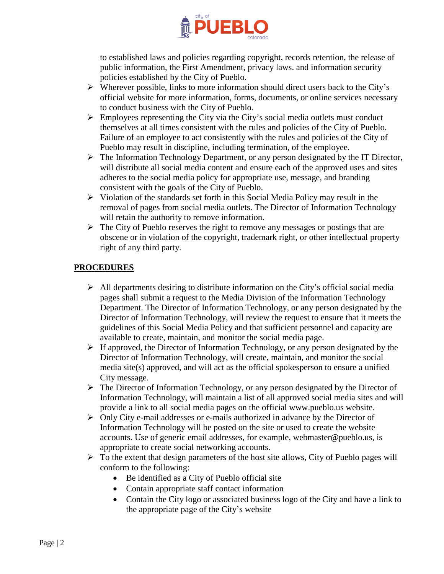

 to established laws and policies regarding copyright, records retention, the release of public information, the First Amendment, privacy laws. and information security policies established by the City of Pueblo.

- official website for more information, forms, documents, or online services necessary  $\triangleright$  Wherever possible, links to more information should direct users back to the City's to conduct business with the City of Pueblo.
- themselves at all times consistent with the rules and policies of the City of Pueblo.  $\triangleright$  Employees representing the City via the City's social media outlets must conduct Failure of an employee to act consistently with the rules and policies of the City of Pueblo may result in discipline, including termination, of the employee.
- $\triangleright$  The Information Technology Department, or any person designated by the IT Director, will distribute all social media content and ensure each of the approved uses and sites adheres to the social media policy for appropriate use, message, and branding consistent with the goals of the City of Pueblo.
- $\triangleright$  Violation of the standards set forth in this Social Media Policy may result in the removal of pages from social media outlets. The Director of Information Technology will retain the authority to remove information.
- $\triangleright$  The City of Pueblo reserves the right to remove any messages or postings that are obscene or in violation of the copyright, trademark right, or other intellectual property right of any third party.

## **PROCEDURES**

- $\triangleright$  All departments desiring to distribute information on the City's official social media pages shall submit a request to the Media Division of the Information Technology Department. The Director of Information Technology, or any person designated by the Director of Information Technology, will review the request to ensure that it meets the guidelines of this Social Media Policy and that sufficient personnel and capacity are available to create, maintain, and monitor the social media page.
- $\triangleright$  If approved, the Director of Information Technology, or any person designated by the Director of Information Technology, will create, maintain, and monitor the social media site(s) approved, and will act as the official spokesperson to ensure a unified City message.
- $\triangleright$  The Director of Information Technology, or any person designated by the Director of Information Technology, will maintain a list of all approved social media sites and will provide a link to all social media pages on the official [www.pueblo.us](http://www.pueblo.us/) website.
- accounts. Use of generic email addresses, for example, [webmaster@pueblo.us,](mailto:webmaster@pueblo.us) is  $\triangleright$  Only City e-mail addresses or e-mails authorized in advance by the Director of Information Technology will be posted on the site or used to create the website appropriate to create social networking accounts.
- $\triangleright$  To the extent that design parameters of the host site allows, City of Pueblo pages will conform to the following:
	- Be identified as a City of Pueblo official site
	- Contain appropriate staff contact information
	- Contain the City logo or associated business logo of the City and have a link to the appropriate page of the City's website